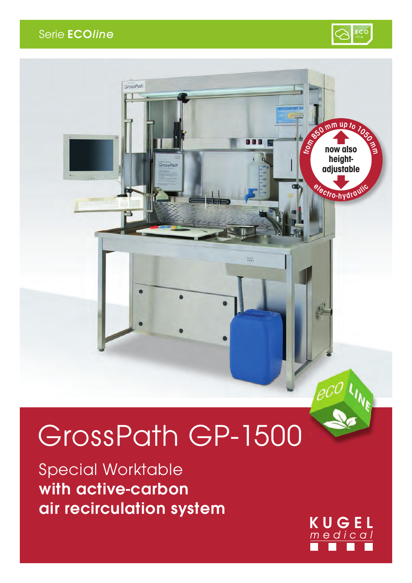#### Serie **ECOline**





# GrossPath GP-1500

Special Worktable with active-carbon air recirculation system

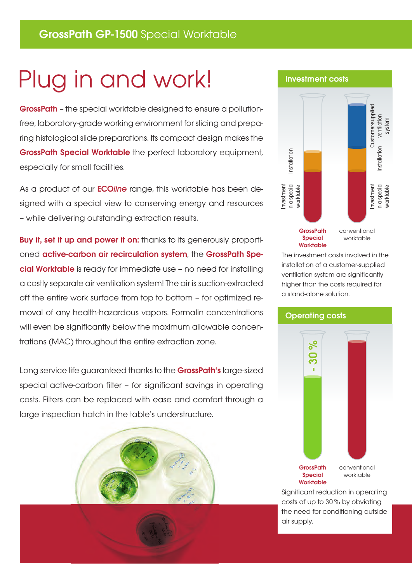## Plug in and work!

GrossPath – the special worktable designed to ensure a pollutionfree, laboratory-grade working environment for slicing and preparing histological slide preparations. Its compact design makes the GrossPath Special Worktable the perfect laboratory equipment, especially for small facilities.

As a product of our ECO*line* range, this worktable has been designed with a special view to conserving energy and resources – while delivering outstanding extraction results.

**Buy it, set it up and power it on:** thanks to its generously proportioned active-carbon air recirculation system, the GrossPath Special Worktable is ready for immediate use – no need for installing a costly separate air ventilation system! The air is suction-extracted off the entire work surface from top to bottom – for optimized removal of any health-hazardous vapors. Formalin concentrations will even be significantly below the maximum allowable concentrations (MAC) throughout the entire extraction zone.

Long service life guaranteed thanks to the **GrossPath's** large-sized special active-carbon filter – for significant savings in operating costs. Filters can be replaced with ease and comfort through a large inspection hatch in the table's understructure.





The investment costs involved in the installation of a customer-supplied ventilation system are significantly higher than the costs required for a stand-alone solution.



Significant reduction in operating costs of up to 30 % by obviating the need for conditioning outside air supply.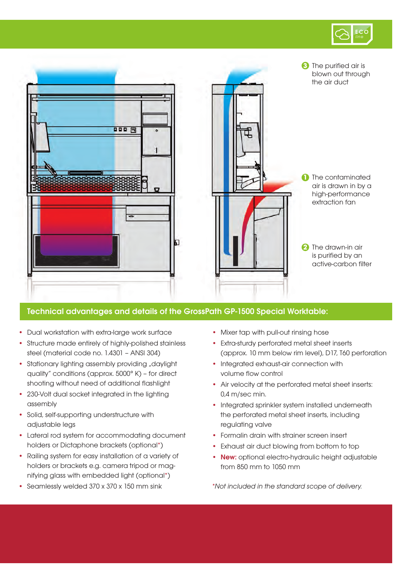



#### Technical advantages and details of the GrossPath GP-1500 Special Worktable:

- **•** Dual workstation with extra-large work surface
- **•** Structure made entirely of highly-polished stainless steel (material code no. 1.4301 – ANSI 304)
- Stationary lighting assembly providing "daylight quality" conditions (approx. 5000° K) – for direct shooting without need of additional flashlight
- **•** 230-Volt dual socket integrated in the lighting assembly
- **•** Solid, self-supporting understructure with adjustable legs
- **•** Lateral rod system for accommodating document holders or Dictaphone brackets (optional\*)
- **•** Railing system for easy installation of a variety of holders or brackets e.g. camera tripod or mag nifying glass with embedded light (optional\*)
- **•** Seamlessly welded 370 x 370 x 150 mm sink
- **•** Mixer tap with pull-out rinsing hose
- **•** Extra-sturdy perforated metal sheet inserts (approx. 10 mm below rim level), D17, T60 perforation
- **•** Integrated exhaust-air connection with volume flow control
- **•** Air velocity at the perforated metal sheet inserts: 0,4 m/sec min.
- **•** Integrated sprinkler system installed underneath the perforated metal sheet inserts, including regulating valve
- **•** Formalin drain with strainer screen insert
- **•** Exhaust air duct blowing from bottom to top
- **•** New: optional electro-hydraulic height adjustable from 850 mm to 1050 mm

*\*Not included in the standard scope of delivery.*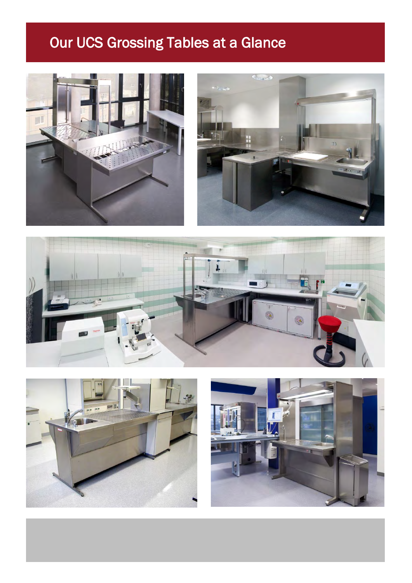#### Our UCS Grossing Tables at a Glance









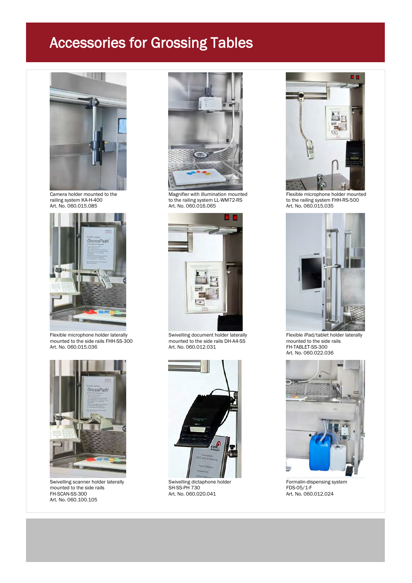

Franklin Gothic Book; 12



Flexible microphone holder laterally Swivelling document holder laterally Flexible iPad/tablet holder laterally mounted to the side rails FHH-SS-300 mounted to the side rails DH-A4-SS mounted to the side rails Flexible microphone holder laterally<br>
mounted to the side rails FHH-SS-300 Flexible iPad/tablet holder laterally<br>
Art. No. 060.012.031 Art. No. 060.012.031 FH-TABLET-SS-300



Swivelling scanner holder laterally Swivelling dictaphone holder The Tormalin-dispensing system<br>
SH-SS-PH 730 TDS-05/1-F mounted to the side rails and results of the side rails and the side rails of the side rails SH-SS-PH 730 FDS-05/1-F<br>FH-SCAN-SS-300 Art. No. 060.020.041 Art. No. 060.012.024 Art. No. 060.100.105



Camera holder mounted to the Magnifier with illumination mounted Flexible microphone holder mounted<br>
Flexible microphone holder mounted to the railing system KA-H-400 to the railing system KH-RS-500 railing system KA-H-400 to the railing system LL-WM72-RS to the railing system FH-RS to the railing system FH-<br>Art. No. 060.016.065 Art. No. 060.016.065 Art. No. 060.016.065





Art. No. 060.020.041





Art. No. 060.022.036

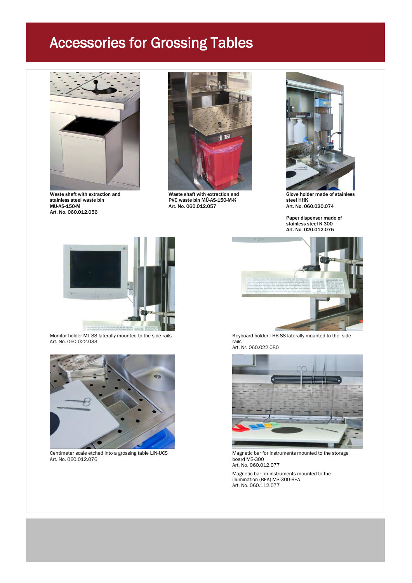

Franklin Gothic Book; 12

Waste shaft with extraction and Waste shaft with extraction and Glove holder made of stainless<br>stainless steel waste bin CVC waste bin MÜ-AS-150-M-K steel HHK Art. No. 060.012.056



stainless steel waste bin and the process of the PVC waste bin MÜ-AS-150-M-K steel HHK<br>MÜ-AS-150-M Art. No. 060.012.057 Art. No. 060.020.074 Art. No. 060.012.057



Paper dispenser made of stainless steel K 300 Art. No. 020.012.075



Art. No. 060.022.033 rails



Centimeter scale etched into a grossing table LIN-UCS Magnetic bar for instruments mounted to the storage Art. No. 060.012.076 board MS-300



Monitor holder MT-SS laterally mounted to the side rails Keyboard holder THB-SS laterally mounted to the side Art. Nr. 060.022.080



Art. No. 060.012.077

Magnetic bar for instruments mounted to the illumination (BEA) MS-300-BEA Art. No. 060.112.077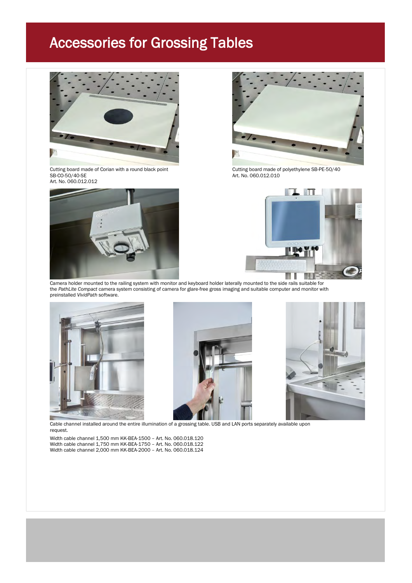

Cutting board made of Corian with a round black point Cutting board made of polyethylene SB-PE-50/40 SB-CO-50/40-SE Art. No. 060.012.010 Art. No. 060.012.012







Camera holder mounted to the railing system with monitor and keyboard holder laterally mounted to the side rails suitable for the *PathLite Compact* camera system consisting of camera for glare-free gross imaging and suitable computer and monitor with preinstalled *VividPath* software.







Cable channel installed around the entire illumination of a grossing table. USB and LAN ports separately available upon request.

Width cable channel 1,500 mm KK-BEA-1500 – Art. No. 060.018.120 Width cable channel 1,750 mm KK-BEA-1750 – Art. No. 060.018.122 Width cable channel 2,000 mm KK-BEA-2000 – Art. No. 060.018.124